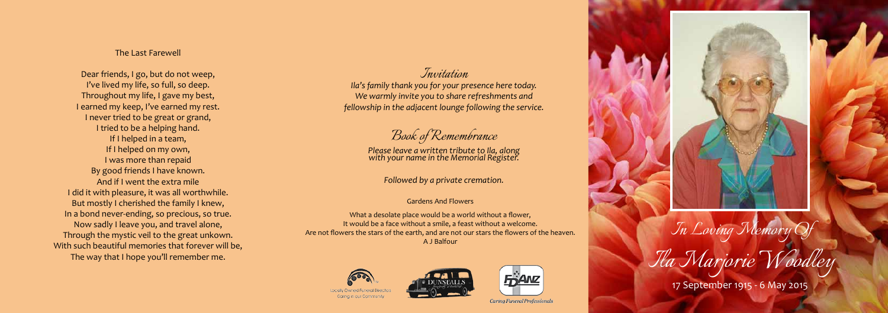*In Loving Memory Of*

*Ila Marjorie Woodley*

17 September 1915 - 6 May 2015

## The Last Farewell

Dear friends, I go, but do not weep, I've lived my life, so full, so deep. Throughout my life, I gave my best, I earned my keep, I've earned my rest. I never tried to be great or grand, I tried to be a helping hand. If I helped in a team, If I helped on my own, I was more than repaid By good friends I have known. And if I went the extra mile I did it with pleasure, it was all worthwhile. But mostly I cherished the family I knew, In a bond never-ending, so precious, so true. Now sadly I leave you, and travel alone, Through the mystic veil to the great unkown. With such beautiful memories that forever will be, The way that I hope you'll remember me.

#### Gardens And Flowers

What a desolate place would be a world without a flower, It would be a face without a smile, a feast without a welcome. Are not flowers the stars of the earth, and are not our stars the flowers of the heaven. A J Balfour







Caring Funeral Professionals

# *Invitation*

*Ila's family thank you for your presence here today. We warmly invite you to share refreshments and fellowship in the adjacent lounge following the service.*

*Book of Remembrance*

*Please leave a written tribute to Ila, along with your name in the Memorial Register.*

*Followed by a private cremation.*